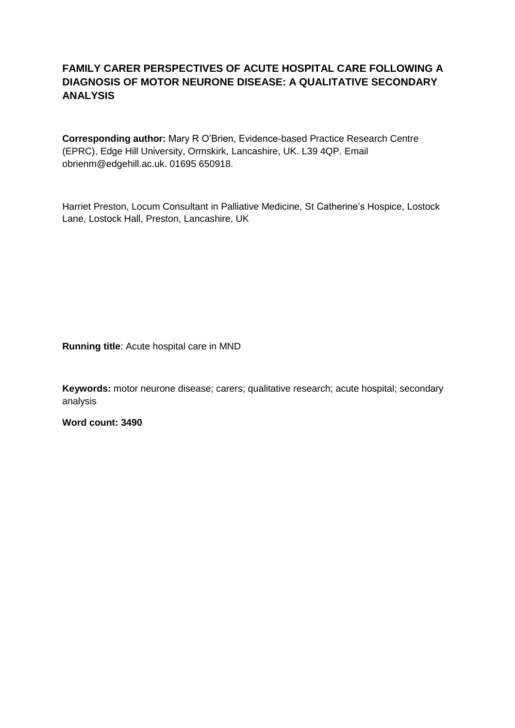# **FAMILY CARER PERSPECTIVES OF ACUTE HOSPITAL CARE FOLLOWING A DIAGNOSIS OF MOTOR NEURONE DISEASE: A QUALITATIVE SECONDARY ANALYSIS**

**Corresponding author:** Mary R O'Brien, Evidence-based Practice Research Centre (EPRC), Edge Hill University, Ormskirk, Lancashire, UK. L39 4QP. Email obrienm@edgehill.ac.uk. 01695 650918.

Harriet Preston, Locum Consultant in Palliative Medicine, St Catherine's Hospice, Lostock Lane, Lostock Hall, Preston, Lancashire, UK

**Running title**: Acute hospital care in MND

**Keywords:** motor neurone disease; carers; qualitative research; acute hospital; secondary analysis

**Word count: 3490**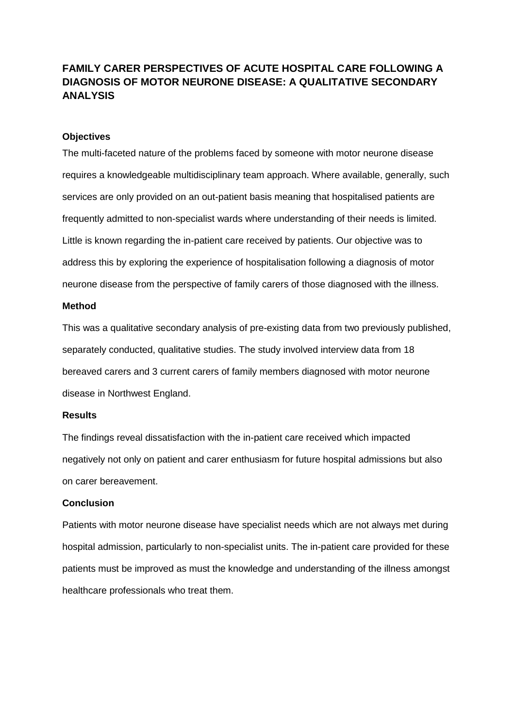# **FAMILY CARER PERSPECTIVES OF ACUTE HOSPITAL CARE FOLLOWING A DIAGNOSIS OF MOTOR NEURONE DISEASE: A QUALITATIVE SECONDARY ANALYSIS**

#### **Objectives**

The multi-faceted nature of the problems faced by someone with motor neurone disease requires a knowledgeable multidisciplinary team approach. Where available, generally, such services are only provided on an out-patient basis meaning that hospitalised patients are frequently admitted to non-specialist wards where understanding of their needs is limited. Little is known regarding the in-patient care received by patients. Our objective was to address this by exploring the experience of hospitalisation following a diagnosis of motor neurone disease from the perspective of family carers of those diagnosed with the illness.

#### **Method**

This was a qualitative secondary analysis of pre-existing data from two previously published, separately conducted, qualitative studies. The study involved interview data from 18 bereaved carers and 3 current carers of family members diagnosed with motor neurone disease in Northwest England.

#### **Results**

The findings reveal dissatisfaction with the in-patient care received which impacted negatively not only on patient and carer enthusiasm for future hospital admissions but also on carer bereavement.

#### **Conclusion**

Patients with motor neurone disease have specialist needs which are not always met during hospital admission, particularly to non-specialist units. The in-patient care provided for these patients must be improved as must the knowledge and understanding of the illness amongst healthcare professionals who treat them.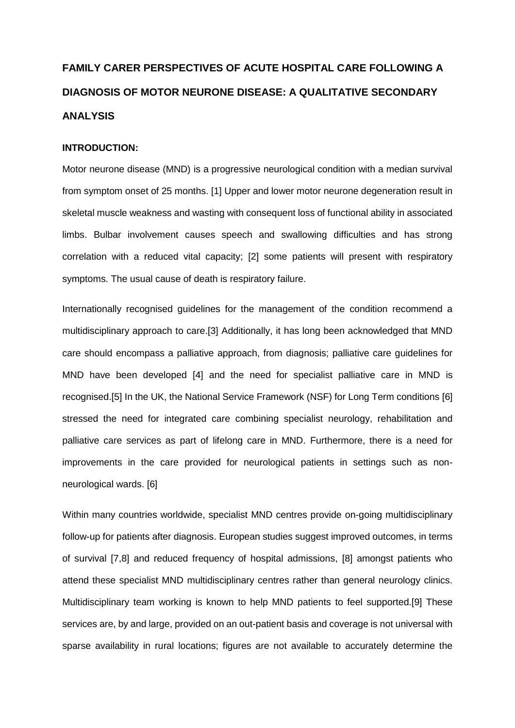# **FAMILY CARER PERSPECTIVES OF ACUTE HOSPITAL CARE FOLLOWING A DIAGNOSIS OF MOTOR NEURONE DISEASE: A QUALITATIVE SECONDARY ANALYSIS**

#### **INTRODUCTION:**

Motor neurone disease (MND) is a progressive neurological condition with a median survival from symptom onset of 25 months. [1] Upper and lower motor neurone degeneration result in skeletal muscle weakness and wasting with consequent loss of functional ability in associated limbs. Bulbar involvement causes speech and swallowing difficulties and has strong correlation with a reduced vital capacity; [2] some patients will present with respiratory symptoms. The usual cause of death is respiratory failure.

Internationally recognised guidelines for the management of the condition recommend a multidisciplinary approach to care.[3] Additionally, it has long been acknowledged that MND care should encompass a palliative approach, from diagnosis; palliative care guidelines for MND have been developed [4] and the need for specialist palliative care in MND is recognised.[5] In the UK, the National Service Framework (NSF) for Long Term conditions [6] stressed the need for integrated care combining specialist neurology, rehabilitation and palliative care services as part of lifelong care in MND. Furthermore, there is a need for improvements in the care provided for neurological patients in settings such as nonneurological wards. [6]

Within many countries worldwide, specialist MND centres provide on-going multidisciplinary follow-up for patients after diagnosis. European studies suggest improved outcomes, in terms of survival [7,8] and reduced frequency of hospital admissions, [8] amongst patients who attend these specialist MND multidisciplinary centres rather than general neurology clinics. Multidisciplinary team working is known to help MND patients to feel supported.[9] These services are, by and large, provided on an out-patient basis and coverage is not universal with sparse availability in rural locations; figures are not available to accurately determine the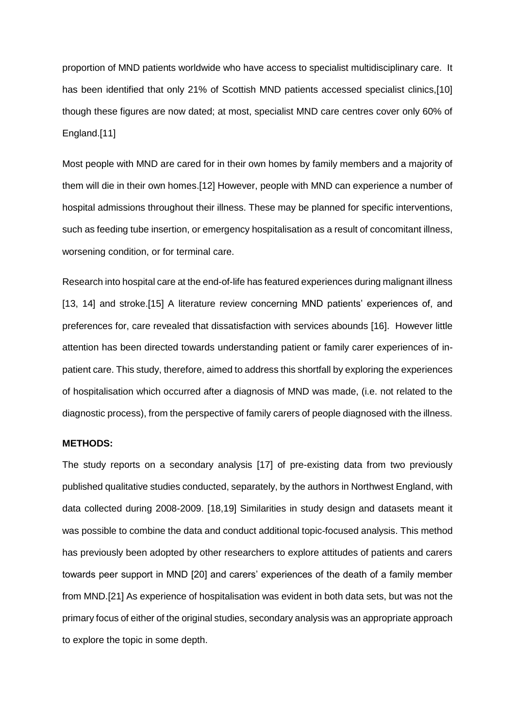proportion of MND patients worldwide who have access to specialist multidisciplinary care. It has been identified that only 21% of Scottish MND patients accessed specialist clinics,[10] though these figures are now dated; at most, specialist MND care centres cover only 60% of England.[11]

Most people with MND are cared for in their own homes by family members and a majority of them will die in their own homes.[12] However, people with MND can experience a number of hospital admissions throughout their illness. These may be planned for specific interventions, such as feeding tube insertion, or emergency hospitalisation as a result of concomitant illness, worsening condition, or for terminal care.

Research into hospital care at the end-of-life has featured experiences during malignant illness [13, 14] and stroke.[15] A literature review concerning MND patients' experiences of, and preferences for, care revealed that dissatisfaction with services abounds [16]. However little attention has been directed towards understanding patient or family carer experiences of inpatient care. This study, therefore, aimed to address this shortfall by exploring the experiences of hospitalisation which occurred after a diagnosis of MND was made, (i.e. not related to the diagnostic process), from the perspective of family carers of people diagnosed with the illness.

#### **METHODS:**

The study reports on a secondary analysis [17] of pre-existing data from two previously published qualitative studies conducted, separately, by the authors in Northwest England, with data collected during 2008-2009. [18,19] Similarities in study design and datasets meant it was possible to combine the data and conduct additional topic-focused analysis. This method has previously been adopted by other researchers to explore attitudes of patients and carers towards peer support in MND [20] and carers' experiences of the death of a family member from MND.[21] As experience of hospitalisation was evident in both data sets, but was not the primary focus of either of the original studies, secondary analysis was an appropriate approach to explore the topic in some depth.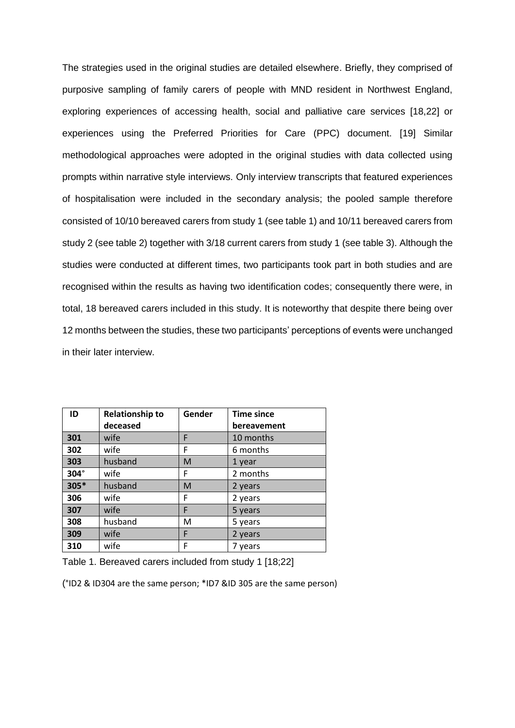The strategies used in the original studies are detailed elsewhere. Briefly, they comprised of purposive sampling of family carers of people with MND resident in Northwest England, exploring experiences of accessing health, social and palliative care services [18,22] or experiences using the Preferred Priorities for Care (PPC) document. [19] Similar methodological approaches were adopted in the original studies with data collected using prompts within narrative style interviews. Only interview transcripts that featured experiences of hospitalisation were included in the secondary analysis; the pooled sample therefore consisted of 10/10 bereaved carers from study 1 (see table 1) and 10/11 bereaved carers from study 2 (see table 2) together with 3/18 current carers from study 1 (see table 3). Although the studies were conducted at different times, two participants took part in both studies and are recognised within the results as having two identification codes; consequently there were, in total, 18 bereaved carers included in this study. It is noteworthy that despite there being over 12 months between the studies, these two participants' perceptions of events were unchanged in their later interview.

| ID     | <b>Relationship to</b> | Gender | <b>Time since</b> |
|--------|------------------------|--------|-------------------|
|        | deceased               |        | bereavement       |
| 301    | wife                   | F      | 10 months         |
| 302    | wife                   | F      | 6 months          |
| 303    | husband                | M      | 1 year            |
| 304°   | wife                   | F      | 2 months          |
| $305*$ | husband                | M      | 2 years           |
| 306    | wife                   | F      | 2 years           |
| 307    | wife                   | F      | 5 years           |
| 308    | husband                | м      | 5 years           |
| 309    | wife                   | F      | 2 years           |
| 310    | wife                   | F      | 7 years           |

Table 1. Bereaved carers included from study 1 [18;22]

(°ID2 & ID304 are the same person; \*ID7 &ID 305 are the same person)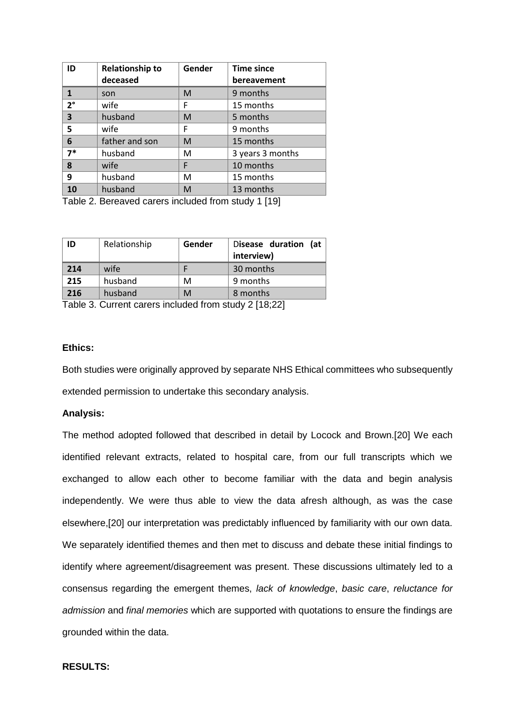| ID           | <b>Relationship to</b> | Gender | <b>Time since</b> |
|--------------|------------------------|--------|-------------------|
|              | deceased               |        | bereavement       |
| $\mathbf{1}$ | son                    | M      | 9 months          |
| $2^{\circ}$  | wife                   | F      | 15 months         |
| 3            | husband                | M      | 5 months          |
| 5            | wife                   | F      | 9 months          |
| 6            | father and son         | M      | 15 months         |
| $7*$         | husband                | M      | 3 years 3 months  |
| 8            | wife                   | F      | 10 months         |
| 9            | husband                | м      | 15 months         |
| 10           | husband                | M      | 13 months         |

Table 2. Bereaved carers included from study 1 [19]

| ID  | Relationship | Gender | Disease duration (at<br>interview) |
|-----|--------------|--------|------------------------------------|
| 214 | wife         |        | 30 months                          |
| 215 | husband      | м      | 9 months                           |
| 216 | husband      | М      | 8 months                           |

Table 3. Current carers included from study 2 [18;22]

## **Ethics:**

Both studies were originally approved by separate NHS Ethical committees who subsequently extended permission to undertake this secondary analysis.

## **Analysis:**

The method adopted followed that described in detail by Locock and Brown.[20] We each identified relevant extracts, related to hospital care, from our full transcripts which we exchanged to allow each other to become familiar with the data and begin analysis independently. We were thus able to view the data afresh although, as was the case elsewhere,[20] our interpretation was predictably influenced by familiarity with our own data. We separately identified themes and then met to discuss and debate these initial findings to identify where agreement/disagreement was present. These discussions ultimately led to a consensus regarding the emergent themes, *lack of knowledge*, *basic care*, *reluctance for admission* and *final memories* which are supported with quotations to ensure the findings are grounded within the data.

#### **RESULTS:**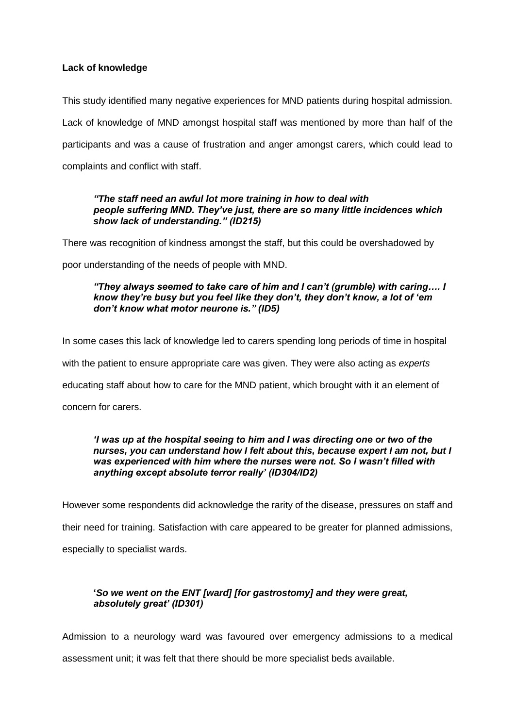## **Lack of knowledge**

This study identified many negative experiences for MND patients during hospital admission. Lack of knowledge of MND amongst hospital staff was mentioned by more than half of the participants and was a cause of frustration and anger amongst carers, which could lead to complaints and conflict with staff.

#### *"The staff need an awful lot more training in how to deal with people suffering MND. They've just, there are so many little incidences which show lack of understanding." (ID215)*

There was recognition of kindness amongst the staff, but this could be overshadowed by

poor understanding of the needs of people with MND.

## *"They always seemed to take care of him and I can't (grumble) with caring…. I know they're busy but you feel like they don't, they don't know, a lot of 'em don't know what motor neurone is." (ID5)*

In some cases this lack of knowledge led to carers spending long periods of time in hospital with the patient to ensure appropriate care was given. They were also acting as *experts* educating staff about how to care for the MND patient, which brought with it an element of concern for carers.

#### *'I was up at the hospital seeing to him and I was directing one or two of the nurses, you can understand how I felt about this, because expert I am not, but I was experienced with him where the nurses were not. So I wasn't filled with anything except absolute terror really' (ID304/ID2)*

However some respondents did acknowledge the rarity of the disease, pressures on staff and their need for training. Satisfaction with care appeared to be greater for planned admissions, especially to specialist wards.

# **'***So we went on the ENT [ward] [for gastrostomy] and they were great, absolutely great' (ID301)*

Admission to a neurology ward was favoured over emergency admissions to a medical assessment unit; it was felt that there should be more specialist beds available.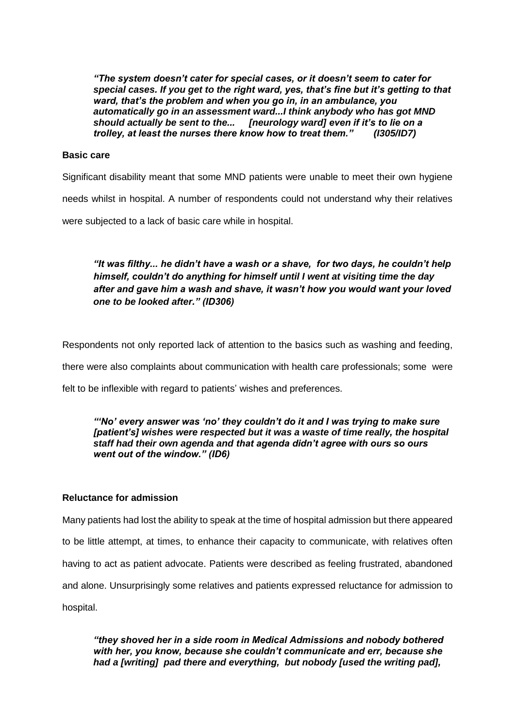*"The system doesn't cater for special cases, or it doesn't seem to cater for special cases. If you get to the right ward, yes, that's fine but it's getting to that ward, that's the problem and when you go in, in an ambulance, you automatically go in an assessment ward...I think anybody who has got MND should actually be sent to the... [neurology ward] even if it's to lie on a trolley, at least the nurses there know how to treat them." (I305/ID7)*

#### **Basic care**

Significant disability meant that some MND patients were unable to meet their own hygiene

needs whilst in hospital. A number of respondents could not understand why their relatives

were subjected to a lack of basic care while in hospital.

# *"It was filthy... he didn't have a wash or a shave, for two days, he couldn't help himself, couldn't do anything for himself until I went at visiting time the day after and gave him a wash and shave, it wasn't how you would want your loved one to be looked after." (ID306)*

Respondents not only reported lack of attention to the basics such as washing and feeding,

there were also complaints about communication with health care professionals; some were

felt to be inflexible with regard to patients' wishes and preferences.

*"'No' every answer was 'no' they couldn't do it and I was trying to make sure [patient's] wishes were respected but it was a waste of time really, the hospital staff had their own agenda and that agenda didn't agree with ours so ours went out of the window." (ID6)* 

## **Reluctance for admission**

Many patients had lost the ability to speak at the time of hospital admission but there appeared to be little attempt, at times, to enhance their capacity to communicate, with relatives often having to act as patient advocate. Patients were described as feeling frustrated, abandoned and alone. Unsurprisingly some relatives and patients expressed reluctance for admission to hospital.

#### *"they shoved her in a side room in Medical Admissions and nobody bothered with her, you know, because she couldn't communicate and err, because she had a [writing] pad there and everything, but nobody [used the writing pad],*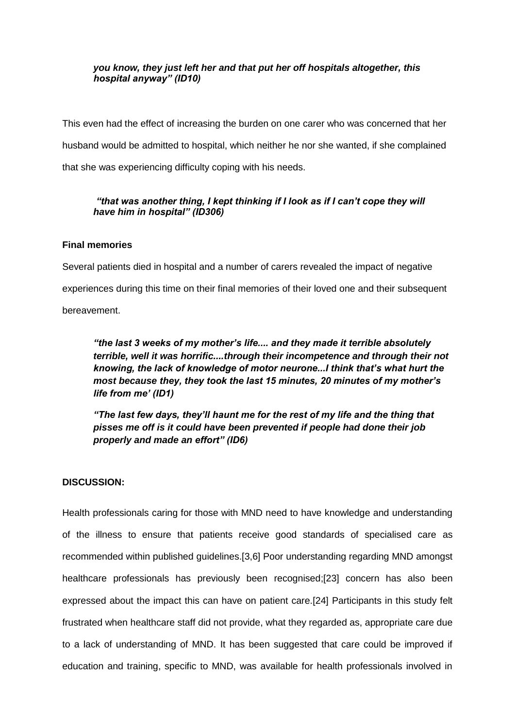#### *you know, they just left her and that put her off hospitals altogether, this hospital anyway" (ID10)*

This even had the effect of increasing the burden on one carer who was concerned that her husband would be admitted to hospital, which neither he nor she wanted, if she complained that she was experiencing difficulty coping with his needs.

## *"that was another thing, I kept thinking if I look as if I can't cope they will have him in hospital" (ID306)*

#### **Final memories**

Several patients died in hospital and a number of carers revealed the impact of negative experiences during this time on their final memories of their loved one and their subsequent bereavement.

*"the last 3 weeks of my mother's life.... and they made it terrible absolutely terrible, well it was horrific....through their incompetence and through their not knowing, the lack of knowledge of motor neurone...I think that's what hurt the most because they, they took the last 15 minutes, 20 minutes of my mother's life from me' (ID1)*

*"The last few days, they'll haunt me for the rest of my life and the thing that pisses me off is it could have been prevented if people had done their job properly and made an effort" (ID6)*

## **DISCUSSION:**

Health professionals caring for those with MND need to have knowledge and understanding of the illness to ensure that patients receive good standards of specialised care as recommended within published guidelines.[3,6] Poor understanding regarding MND amongst healthcare professionals has previously been recognised;[23] concern has also been expressed about the impact this can have on patient care.[24] Participants in this study felt frustrated when healthcare staff did not provide, what they regarded as, appropriate care due to a lack of understanding of MND. It has been suggested that care could be improved if education and training, specific to MND, was available for health professionals involved in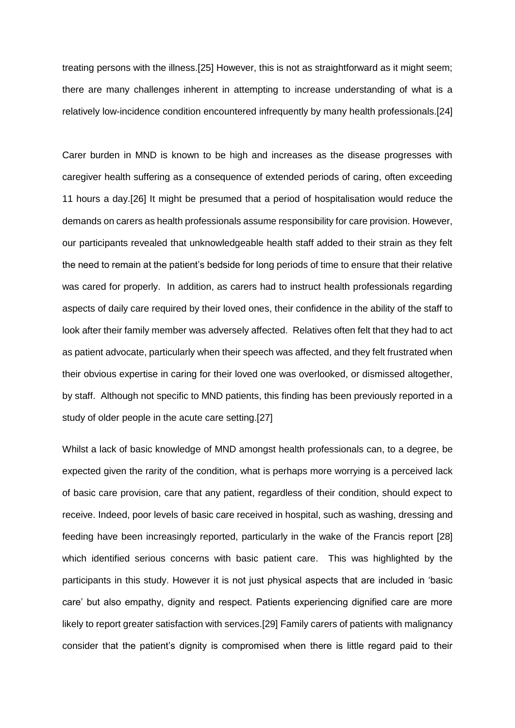treating persons with the illness.[25] However, this is not as straightforward as it might seem; there are many challenges inherent in attempting to increase understanding of what is a relatively low-incidence condition encountered infrequently by many health professionals.[24]

Carer burden in MND is known to be high and increases as the disease progresses with caregiver health suffering as a consequence of extended periods of caring, often exceeding 11 hours a day.[26] It might be presumed that a period of hospitalisation would reduce the demands on carers as health professionals assume responsibility for care provision. However, our participants revealed that unknowledgeable health staff added to their strain as they felt the need to remain at the patient's bedside for long periods of time to ensure that their relative was cared for properly. In addition, as carers had to instruct health professionals regarding aspects of daily care required by their loved ones, their confidence in the ability of the staff to look after their family member was adversely affected. Relatives often felt that they had to act as patient advocate, particularly when their speech was affected, and they felt frustrated when their obvious expertise in caring for their loved one was overlooked, or dismissed altogether, by staff. Although not specific to MND patients, this finding has been previously reported in a study of older people in the acute care setting.[27]

Whilst a lack of basic knowledge of MND amongst health professionals can, to a degree, be expected given the rarity of the condition, what is perhaps more worrying is a perceived lack of basic care provision, care that any patient, regardless of their condition, should expect to receive. Indeed, poor levels of basic care received in hospital, such as washing, dressing and feeding have been increasingly reported, particularly in the wake of the Francis report [28] which identified serious concerns with basic patient care. This was highlighted by the participants in this study. However it is not just physical aspects that are included in 'basic care' but also empathy, dignity and respect. Patients experiencing dignified care are more likely to report greater satisfaction with services.[29] Family carers of patients with malignancy consider that the patient's dignity is compromised when there is little regard paid to their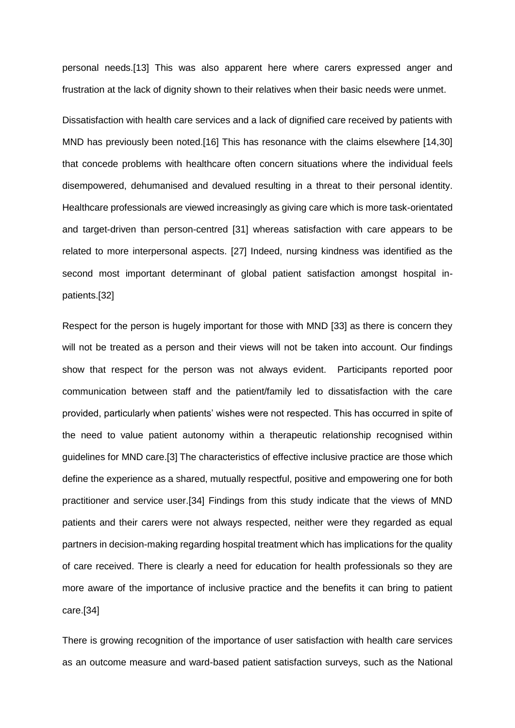personal needs.[13] This was also apparent here where carers expressed anger and frustration at the lack of dignity shown to their relatives when their basic needs were unmet.

Dissatisfaction with health care services and a lack of dignified care received by patients with MND has previously been noted.[16] This has resonance with the claims elsewhere [14,30] that concede problems with healthcare often concern situations where the individual feels disempowered, dehumanised and devalued resulting in a threat to their personal identity. Healthcare professionals are viewed increasingly as giving care which is more task-orientated and target-driven than person-centred [31] whereas satisfaction with care appears to be related to more interpersonal aspects. [27] Indeed, nursing kindness was identified as the second most important determinant of global patient satisfaction amongst hospital inpatients.[32]

Respect for the person is hugely important for those with MND [33] as there is concern they will not be treated as a person and their views will not be taken into account. Our findings show that respect for the person was not always evident. Participants reported poor communication between staff and the patient/family led to dissatisfaction with the care provided, particularly when patients' wishes were not respected. This has occurred in spite of the need to value patient autonomy within a therapeutic relationship recognised within guidelines for MND care.[3] The characteristics of effective inclusive practice are those which define the experience as a shared, mutually respectful, positive and empowering one for both practitioner and service user.[34] Findings from this study indicate that the views of MND patients and their carers were not always respected, neither were they regarded as equal partners in decision-making regarding hospital treatment which has implications for the quality of care received. There is clearly a need for education for health professionals so they are more aware of the importance of inclusive practice and the benefits it can bring to patient care.[34]

There is growing recognition of the importance of user satisfaction with health care services as an outcome measure and ward-based patient satisfaction surveys, such as the National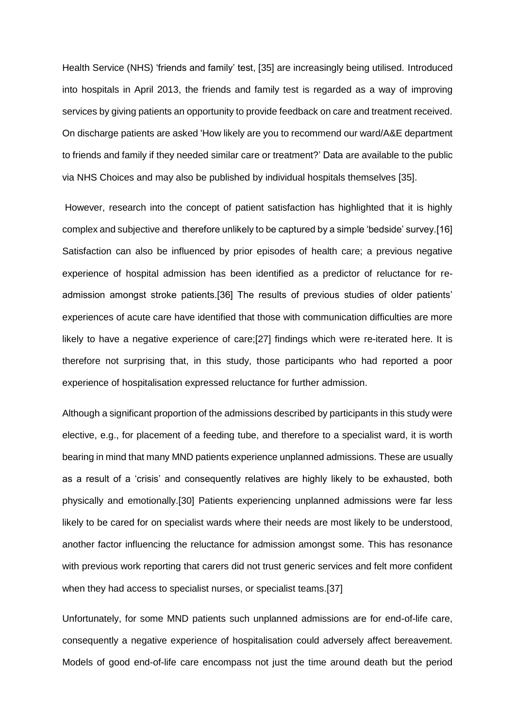Health Service (NHS) 'friends and family' test, [35] are increasingly being utilised. Introduced into hospitals in April 2013, the friends and family test is regarded as a way of improving services by giving patients an opportunity to provide feedback on care and treatment received. On discharge patients are asked 'How likely are you to recommend our ward/A&E department to friends and family if they needed similar care or treatment?' Data are available to the public via NHS Choices and may also be published by individual hospitals themselves [35].

However, research into the concept of patient satisfaction has highlighted that it is highly complex and subjective and therefore unlikely to be captured by a simple 'bedside' survey.[16] Satisfaction can also be influenced by prior episodes of health care; a previous negative experience of hospital admission has been identified as a predictor of reluctance for readmission amongst stroke patients.[36] The results of previous studies of older patients' experiences of acute care have identified that those with communication difficulties are more likely to have a negative experience of care;[27] findings which were re-iterated here. It is therefore not surprising that, in this study, those participants who had reported a poor experience of hospitalisation expressed reluctance for further admission.

Although a significant proportion of the admissions described by participants in this study were elective, e.g., for placement of a feeding tube, and therefore to a specialist ward, it is worth bearing in mind that many MND patients experience unplanned admissions. These are usually as a result of a 'crisis' and consequently relatives are highly likely to be exhausted, both physically and emotionally.[30] Patients experiencing unplanned admissions were far less likely to be cared for on specialist wards where their needs are most likely to be understood, another factor influencing the reluctance for admission amongst some. This has resonance with previous work reporting that carers did not trust generic services and felt more confident when they had access to specialist nurses, or specialist teams.[37]

Unfortunately, for some MND patients such unplanned admissions are for end-of-life care, consequently a negative experience of hospitalisation could adversely affect bereavement. Models of good end-of-life care encompass not just the time around death but the period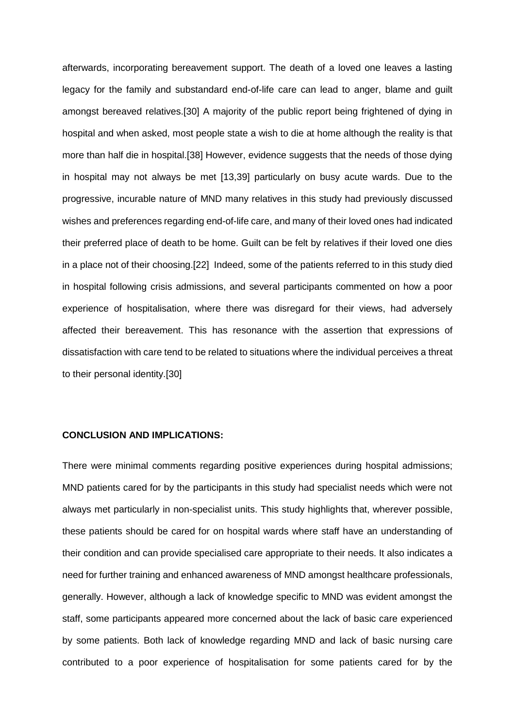afterwards, incorporating bereavement support. The death of a loved one leaves a lasting legacy for the family and substandard end-of-life care can lead to anger, blame and guilt amongst bereaved relatives.[30] A majority of the public report being frightened of dying in hospital and when asked, most people state a wish to die at home although the reality is that more than half die in hospital.[38] However, evidence suggests that the needs of those dying in hospital may not always be met [13,39] particularly on busy acute wards. Due to the progressive, incurable nature of MND many relatives in this study had previously discussed wishes and preferences regarding end-of-life care, and many of their loved ones had indicated their preferred place of death to be home. Guilt can be felt by relatives if their loved one dies in a place not of their choosing.[22] Indeed, some of the patients referred to in this study died in hospital following crisis admissions, and several participants commented on how a poor experience of hospitalisation, where there was disregard for their views, had adversely affected their bereavement. This has resonance with the assertion that expressions of dissatisfaction with care tend to be related to situations where the individual perceives a threat to their personal identity.[30]

#### **CONCLUSION AND IMPLICATIONS:**

There were minimal comments regarding positive experiences during hospital admissions; MND patients cared for by the participants in this study had specialist needs which were not always met particularly in non-specialist units. This study highlights that, wherever possible, these patients should be cared for on hospital wards where staff have an understanding of their condition and can provide specialised care appropriate to their needs. It also indicates a need for further training and enhanced awareness of MND amongst healthcare professionals, generally. However, although a lack of knowledge specific to MND was evident amongst the staff, some participants appeared more concerned about the lack of basic care experienced by some patients. Both lack of knowledge regarding MND and lack of basic nursing care contributed to a poor experience of hospitalisation for some patients cared for by the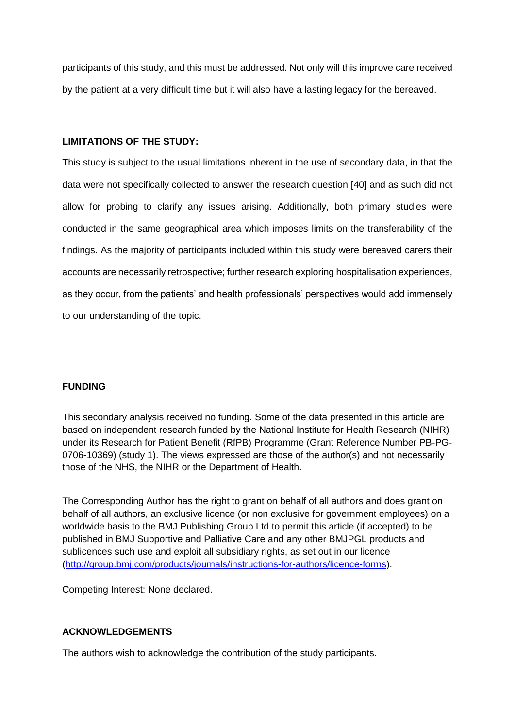participants of this study, and this must be addressed. Not only will this improve care received by the patient at a very difficult time but it will also have a lasting legacy for the bereaved.

#### **LIMITATIONS OF THE STUDY:**

This study is subject to the usual limitations inherent in the use of secondary data, in that the data were not specifically collected to answer the research question [40] and as such did not allow for probing to clarify any issues arising. Additionally, both primary studies were conducted in the same geographical area which imposes limits on the transferability of the findings. As the majority of participants included within this study were bereaved carers their accounts are necessarily retrospective; further research exploring hospitalisation experiences, as they occur, from the patients' and health professionals' perspectives would add immensely to our understanding of the topic.

#### **FUNDING**

This secondary analysis received no funding. Some of the data presented in this article are based on independent research funded by the National Institute for Health Research (NIHR) under its Research for Patient Benefit (RfPB) Programme (Grant Reference Number PB-PG-0706-10369) (study 1). The views expressed are those of the author(s) and not necessarily those of the NHS, the NIHR or the Department of Health.

The Corresponding Author has the right to grant on behalf of all authors and does grant on behalf of all authors, an exclusive licence (or non exclusive for government employees) on a worldwide basis to the BMJ Publishing Group Ltd to permit this article (if accepted) to be published in BMJ Supportive and Palliative Care and any other BMJPGL products and sublicences such use and exploit all subsidiary rights, as set out in our licence [\(http://group.bmj.com/products/journals/instructions-for-authors/licence-forms\)](http://group.bmj.com/products/journals/instructions-for-authors/licence-forms).

Competing Interest: None declared.

#### **ACKNOWLEDGEMENTS**

The authors wish to acknowledge the contribution of the study participants.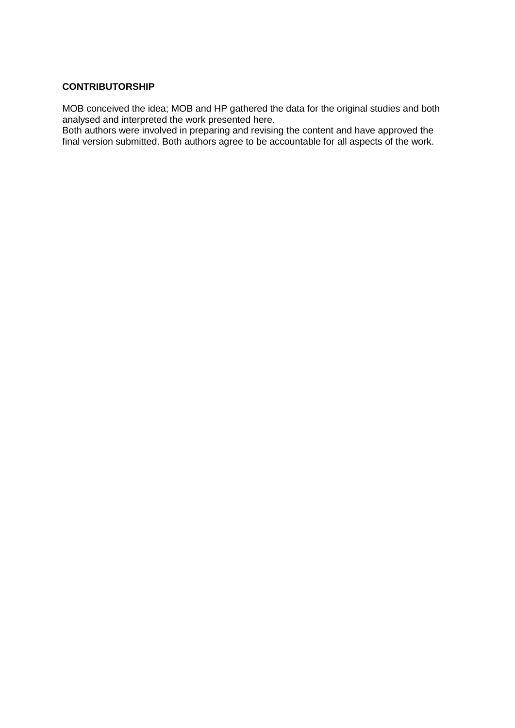## **CONTRIBUTORSHIP**

MOB conceived the idea; MOB and HP gathered the data for the original studies and both analysed and interpreted the work presented here.

Both authors were involved in preparing and revising the content and have approved the final version submitted. Both authors agree to be accountable for all aspects of the work.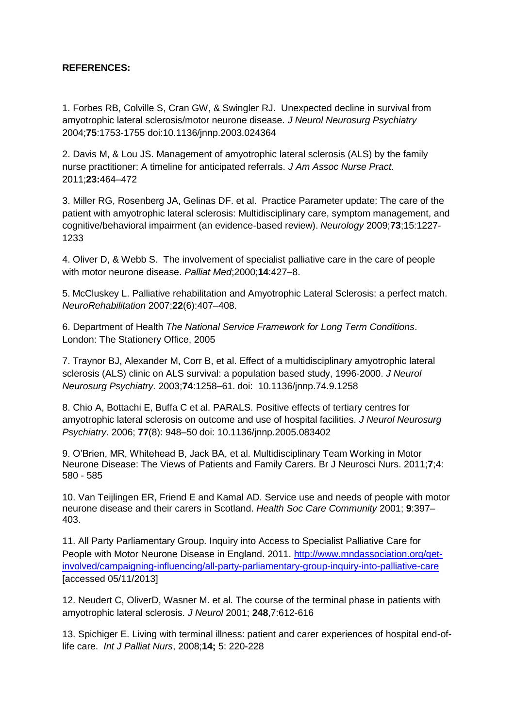# **REFERENCES:**

1. Forbes RB, Colville S, Cran GW, & Swingler RJ. Unexpected decline in survival from amyotrophic lateral sclerosis/motor neurone disease. *J Neurol Neurosurg Psychiatry*  2004;**75**:1753-1755 doi:10.1136/jnnp.2003.024364

2. Davis M, & Lou JS. Management of amyotrophic lateral sclerosis (ALS) by the family nurse practitioner: A timeline for anticipated referrals. *J Am Assoc Nurse Pract*. 2011;**23:**464–472

3. Miller RG, Rosenberg JA, Gelinas DF. et al. Practice Parameter update: The care of the patient with amyotrophic lateral sclerosis: Multidisciplinary care, symptom management, and cognitive/behavioral impairment (an evidence-based review). *Neurology* 2009;**73**;15:1227- 1233

4. Oliver D, & Webb S. The involvement of specialist palliative care in the care of people with motor neurone disease. *Palliat Med*;2000;**14**:427–8.

5. McCluskey L. Palliative rehabilitation and Amyotrophic Lateral Sclerosis: a perfect match. *NeuroRehabilitation* 2007;**22**(6):407–408.

6. Department of Health *The National Service Framework for Long Term Conditions*. London: The Stationery Office, 2005

7. Traynor BJ, Alexander M, Corr B, et al. Effect of a multidisciplinary amyotrophic lateral sclerosis (ALS) clinic on ALS survival: a population based study, 1996-2000. *J Neurol Neurosurg Psychiatry.* 2003;**74**:1258–61. doi: 10.1136/jnnp.74.9.1258

8. Chio A, Bottachi E, Buffa C et al. PARALS. Positive effects of tertiary centres for amyotrophic lateral sclerosis on outcome and use of hospital facilities. *J Neurol Neurosurg Psychiatry*. 2006; **77**(8): 948–50 doi: 10.1136/jnnp.2005.083402

9. O'Brien, MR, Whitehead B, Jack BA, et al. Multidisciplinary Team Working in Motor Neurone Disease: The Views of Patients and Family Carers. Br J Neurosci Nurs. 2011;**7**;4: 580 - 585

10. Van Teijlingen ER, Friend E and Kamal AD. Service use and needs of people with motor neurone disease and their carers in Scotland. *Health Soc Care Community* 2001; **9**:397– 403.

11. All Party Parliamentary Group. Inquiry into Access to Specialist Palliative Care for People with Motor Neurone Disease in England. 2011. [http://www.mndassociation.org/get](http://www.mndassociation.org/get-involved/campaigning-influencing/all-party-parliamentary-group-inquiry-into-palliative-care)[involved/campaigning-influencing/all-party-parliamentary-group-inquiry-into-palliative-care](http://www.mndassociation.org/get-involved/campaigning-influencing/all-party-parliamentary-group-inquiry-into-palliative-care) [accessed 05/11/2013]

12. Neudert C, OliverD, Wasner M. et al. The course of the terminal phase in patients with amyotrophic lateral sclerosis. *J Neurol* 2001; **248**,7:612-616

13. Spichiger E. Living with terminal illness: patient and carer experiences of hospital end-oflife care. *Int J Palliat Nurs*, 2008;**14;** 5: 220-228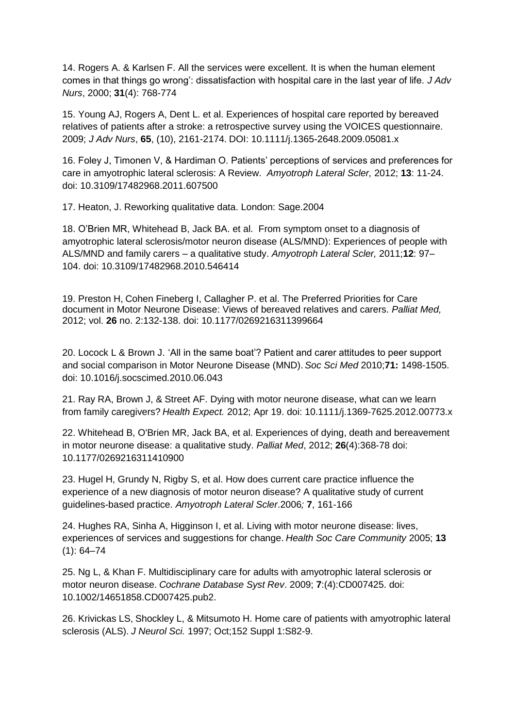14. Rogers A. & Karlsen F. All the services were excellent. It is when the human element comes in that things go wrong': dissatisfaction with hospital care in the last year of life. *J Adv Nurs*, 2000; **31**(4): 768-774

15. Young AJ, Rogers A, Dent L. et al. Experiences of hospital care reported by bereaved relatives of patients after a stroke: a retrospective survey using the VOICES questionnaire. 2009; *J Adv Nurs*, **65**, (10), 2161-2174. DOI: 10.1111/j.1365-2648.2009.05081.x

16. Foley J, Timonen V, & Hardiman O. Patients' perceptions of services and preferences for care in amyotrophic lateral sclerosis: A Review. *Amyotroph Lateral Scler,* 2012; **13**: 11-24. doi: 10.3109/17482968.2011.607500

17. Heaton, J. Reworking qualitative data. London: Sage.2004

18. O'Brien MR, Whitehead B, Jack BA. et al. From symptom onset to a diagnosis of amyotrophic lateral sclerosis/motor neuron disease (ALS/MND): Experiences of people with ALS/MND and family carers – a qualitative study. *Amyotroph Lateral Scler,* 2011;**12**: 97– 104. doi: 10.3109/17482968.2010.546414

19. Preston H, Cohen Fineberg I, Callagher P. et al. The Preferred Priorities for Care document in Motor Neurone Disease: Views of bereaved relatives and carers. *Palliat Med,*  2012; vol. **26** no. 2:132-138. doi: 10.1177/0269216311399664

20. Locock L & Brown J. 'All in the same boat'? Patient and carer attitudes to peer support and social comparison in Motor Neurone Disease (MND).*Soc Sci Med* 2010;**71:** 1498-1505. doi: 10.1016/j.socscimed.2010.06.043

21. Ray RA, Brown J, & Street AF. Dying with motor neurone disease, what can we learn from family caregivers? *Health Expect.* 2012; Apr 19. doi: 10.1111/j.1369-7625.2012.00773.x

22. Whitehead B, O'Brien MR, Jack BA, et al. Experiences of dying, death and bereavement in motor neurone disease: a qualitative study. *Palliat Med*, 2012; **26**(4):368-78 doi: 10.1177/0269216311410900

23. Hugel H, Grundy N, Rigby S, et al. How does current care practice influence the experience of a new diagnosis of motor neuron disease? A qualitative study of current guidelines-based practice. *Amyotroph Lateral Scler*.2006*;* **7**, 161-166

24. Hughes RA, Sinha A, Higginson I, et al. Living with motor neurone disease: lives, experiences of services and suggestions for change. *Health Soc Care Community* 2005; **13**  $(1): 64 - 74$ 

25. Ng L, & Khan F. Multidisciplinary care for adults with amyotrophic lateral sclerosis or motor neuron disease. *Cochrane Database Syst Rev*. 2009; **7**:(4):CD007425. doi: 10.1002/14651858.CD007425.pub2.

26. Krivickas LS, Shockley L, & Mitsumoto H. Home care of patients with amyotrophic lateral sclerosis (ALS). *J Neurol Sci.* 1997; Oct;152 Suppl 1:S82-9.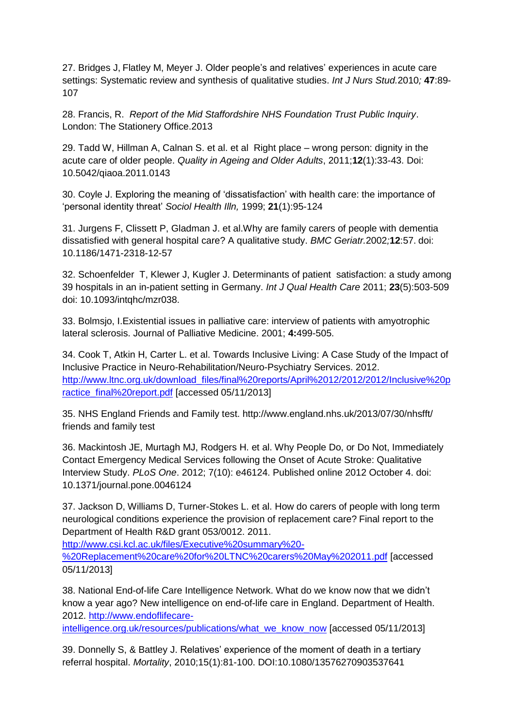27. Bridges J, Flatley M, Meyer J. Older people's and relatives' experiences in acute care settings: Systematic review and synthesis of qualitative studies. *Int J Nurs Stud.*2010*;* **47**:89- 107

28. Francis, R. *Report of the Mid Staffordshire NHS Foundation Trust Public Inquiry*. London: The Stationery Office.2013

29. Tadd W, Hillman A, Calnan S. et al. et al Right place – wrong person: dignity in the acute care of older people. *Quality in Ageing and Older Adults*, 2011;**12**(1):33-43. Doi: 10.5042/qiaoa.2011.0143

30. Coyle J. Exploring the meaning of 'dissatisfaction' with health care: the importance of 'personal identity threat' *Sociol Health Illn,* 1999; **21**(1):95-124

31. Jurgens F, Clissett P, Gladman J. et al.Why are family carers of people with dementia dissatisfied with general hospital care? A qualitative study. *BMC Geriatr.*2002*;***12**:57. doi: 10.1186/1471-2318-12-57

32. Schoenfelder T, Klewer J, Kugler J. Determinants of patient satisfaction: a study among 39 hospitals in an in-patient setting in Germany. *Int J Qual Health Care* 2011; **23**(5):503-509 doi: 10.1093/intqhc/mzr038.

33. Bolmsjo, I.Existential issues in palliative care: interview of patients with amyotrophic lateral sclerosis. Journal of Palliative Medicine. 2001; **4:**499-505.

34. Cook T, Atkin H, Carter L. et al. Towards Inclusive Living: A Case Study of the Impact of Inclusive Practice in Neuro-Rehabilitation/Neuro-Psychiatry Services. 2012. [http://www.ltnc.org.uk/download\\_files/final%20reports/April%2012/2012/2012/Inclusive%20p](http://www.ltnc.org.uk/download_files/final%20reports/April%2012/2012/2012/Inclusive%20practice_final%20report.pdf) [ractice\\_final%20report.pdf](http://www.ltnc.org.uk/download_files/final%20reports/April%2012/2012/2012/Inclusive%20practice_final%20report.pdf) [accessed 05/11/2013]

35. NHS England Friends and Family test. http://www.england.nhs.uk/2013/07/30/nhsfft/ friends and family test

36. Mackintosh JE, Murtagh MJ, Rodgers H. et al. Why People Do, or Do Not, Immediately Contact Emergency Medical Services following the Onset of Acute Stroke: Qualitative Interview Study. *PLoS One*. 2012; 7(10): e46124. Published online 2012 October 4. doi: 10.1371/journal.pone.0046124

37. Jackson D, Williams D, Turner-Stokes L. et al. How do carers of people with long term neurological conditions experience the provision of replacement care? Final report to the Department of Health R&D grant 053/0012. 2011.

[http://www.csi.kcl.ac.uk/files/Executive%20summary%20-](http://www.csi.kcl.ac.uk/files/Executive%20summary%20-%20Replacement%20care%20for%20LTNC%20carers%20May%202011.pdf)

[%20Replacement%20care%20for%20LTNC%20carers%20May%202011.pdf](http://www.csi.kcl.ac.uk/files/Executive%20summary%20-%20Replacement%20care%20for%20LTNC%20carers%20May%202011.pdf) [accessed 05/11/2013]

38. National End-of-life Care Intelligence Network. What do we know now that we didn't know a year ago? New intelligence on end-of-life care in England. Department of Health. 2012. [http://www.endoflifecare-](http://www.endoflifecare-intelligence.org.uk/resources/publications/what_we_know_now)

[intelligence.org.uk/resources/publications/what\\_we\\_know\\_now](http://www.endoflifecare-intelligence.org.uk/resources/publications/what_we_know_now) [accessed 05/11/2013]

39. Donnelly S, & Battley J. Relatives' experience of the moment of death in a tertiary referral hospital. *Mortality*, 2010;15(1):81-100. DOI:10.1080/13576270903537641